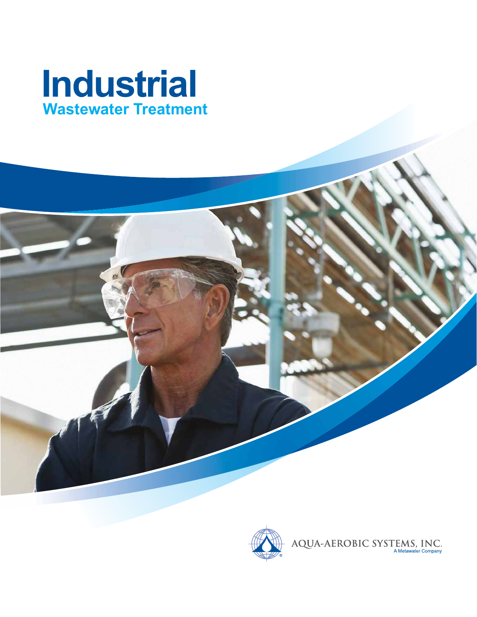

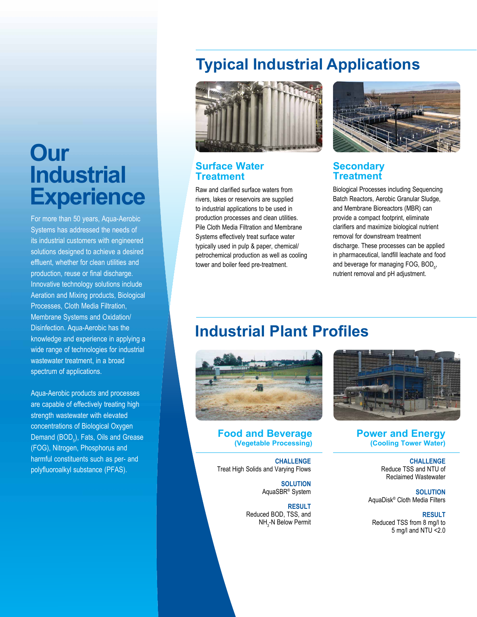# **Our Industrial Experience**

For more than 50 years, Aqua-Aerobic Systems has addressed the needs of its industrial customers with engineered solutions designed to achieve a desired effluent, whether for clean utilities and production, reuse or final discharge. Innovative technology solutions include Aeration and Mixing products, Biological Processes, Cloth Media Filtration, Membrane Systems and Oxidation/ Disinfection. Aqua-Aerobic has the knowledge and experience in applying a wide range of technologies for industrial wastewater treatment, in a broad spectrum of applications.

Aqua-Aerobic products and processes are capable of effectively treating high strength wastewater with elevated concentrations of Biological Oxygen Demand  $( \text{BOD}_5)$ , Fats, Oils and Grease (FOG), Nitrogen, Phosphorus and harmful constituents such as per- and polyfluoroalkyl substance (PFAS).

## **Typical Industrial Applications**



### **Surface Water Treatment**

Raw and clarified surface waters from rivers, lakes or reservoirs are supplied to industrial applications to be used in production processes and clean utilities. Pile Cloth Media Filtration and Membrane Systems effectively treat surface water typically used in pulp & paper, chemical/ petrochemical production as well as cooling tower and boiler feed pre-treatment.



### **Secondary Treatment**

Biological Processes including Sequencing Batch Reactors, Aerobic Granular Sludge, and Membrane Bioreactors (MBR) can provide a compact footprint, eliminate clarifiers and maximize biological nutrient removal for downstream treatment discharge. These processes can be applied in pharmaceutical, landfill leachate and food and beverage for managing FOG, BOD $_{5}$ , nutrient removal and pH adjustment.

## **Industrial Plant Profiles**



**Food and Beverage (Vegetable Processing)**

**CHALLENGE** Treat High Solids and Varying Flows

> **SOLUTION** AquaSBR® System

**RESULT**  Reduced BOD, TSS, and NH<sub>3</sub>-N Below Permit



**Power and Energy (Cooling Tower Water)**

> **CHALLENGE** Reduce TSS and NTU of Reclaimed Wastewater

**SOLUTION** AquaDisk® Cloth Media Filters

**RESULT** Reduced TSS from 8 mg/l to 5 mg/l and NTU <2.0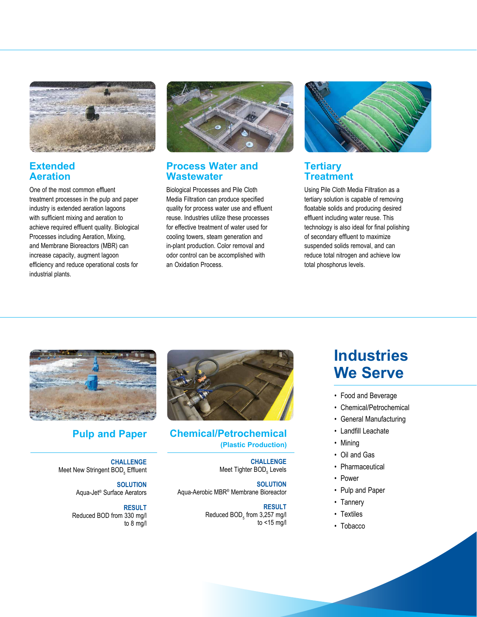

## **Extended Aeration**

One of the most common effluent treatment processes in the pulp and paper industry is extended aeration lagoons with sufficient mixing and aeration to achieve required effluent quality. Biological Processes including Aeration, Mixing, and Membrane Bioreactors (MBR) can increase capacity, augment lagoon efficiency and reduce operational costs for industrial plants.



### **Process Water and Wastewater**

Biological Processes and Pile Cloth Media Filtration can produce specified quality for process water use and effluent reuse. Industries utilize these processes for effective treatment of water used for cooling towers, steam generation and in-plant production. Color removal and odor control can be accomplished with an Oxidation Process.



## **Tertiary Treatment**

Using Pile Cloth Media Filtration as a tertiary solution is capable of removing floatable solids and producing desired effluent including water reuse. This technology is also ideal for final polishing of secondary effluent to maximize suspended solids removal, and can reduce total nitrogen and achieve low total phosphorus levels.



**CHALLENGE** Meet New Stringent BOD<sub>5</sub> Effluent

> **SOLUTION** Aqua-Jet® Surface Aerators

**RESULT** Reduced BOD from 330 mg/l to 8 mg/l



## **Pulp and Paper Chemical/Petrochemical (Plastic Production)**

**CHALLENGE** Meet Tighter BOD<sub>5</sub> Levels

**SOLUTION** Aqua-Aerobic MBR® Membrane Bioreactor

> **RESULT** Reduced  $\mathsf{BOD}_5$  from 3,257 mg/l to <15 mg/l

## **Industries We Serve**

- Food and Beverage
- Chemical/Petrochemical
- General Manufacturing
- Landfill Leachate
- Mining
- Oil and Gas
- Pharmaceutical
- Power
- Pulp and Paper
- Tannery
- Textiles
- Tobacco